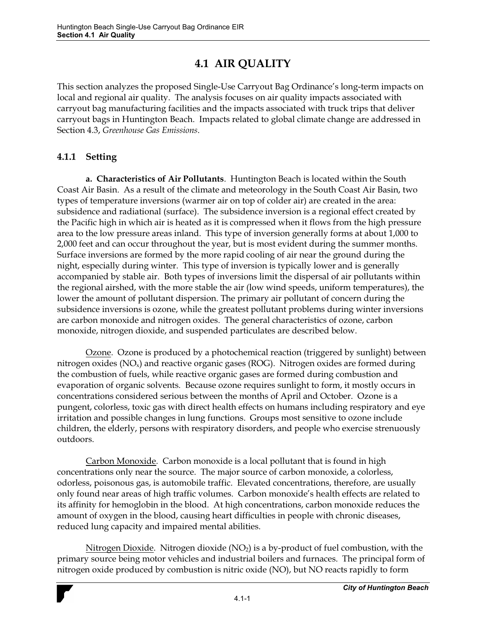# **4.1 AIR QUALITY**

This section analyzes the proposed Single-Use Carryout Bag Ordinance's long-term impacts on local and regional air quality. The analysis focuses on air quality impacts associated with carryout bag manufacturing facilities and the impacts associated with truck trips that deliver carryout bags in Huntington Beach. Impacts related to global climate change are addressed in Section 4.3, *Greenhouse Gas Emissions*.

## **4.1.1 Setting**

**a. Characteristics of Air Pollutants**. Huntington Beach is located within the South Coast Air Basin. As a result of the climate and meteorology in the South Coast Air Basin, two types of temperature inversions (warmer air on top of colder air) are created in the area: subsidence and radiational (surface). The subsidence inversion is a regional effect created by the Pacific high in which air is heated as it is compressed when it flows from the high pressure area to the low pressure areas inland. This type of inversion generally forms at about 1,000 to 2,000 feet and can occur throughout the year, but is most evident during the summer months. Surface inversions are formed by the more rapid cooling of air near the ground during the night, especially during winter. This type of inversion is typically lower and is generally accompanied by stable air. Both types of inversions limit the dispersal of air pollutants within the regional airshed, with the more stable the air (low wind speeds, uniform temperatures), the lower the amount of pollutant dispersion. The primary air pollutant of concern during the subsidence inversions is ozone, while the greatest pollutant problems during winter inversions are carbon monoxide and nitrogen oxides. The general characteristics of ozone, carbon monoxide, nitrogen dioxide, and suspended particulates are described below.

Ozone. Ozone is produced by a photochemical reaction (triggered by sunlight) between nitrogen oxides ( $NO<sub>x</sub>$ ) and reactive organic gases ( $ROG$ ). Nitrogen oxides are formed during the combustion of fuels, while reactive organic gases are formed during combustion and evaporation of organic solvents. Because ozone requires sunlight to form, it mostly occurs in concentrations considered serious between the months of April and October. Ozone is a pungent, colorless, toxic gas with direct health effects on humans including respiratory and eye irritation and possible changes in lung functions. Groups most sensitive to ozone include children, the elderly, persons with respiratory disorders, and people who exercise strenuously outdoors.

 Carbon Monoxide. Carbon monoxide is a local pollutant that is found in high concentrations only near the source. The major source of carbon monoxide, a colorless, odorless, poisonous gas, is automobile traffic. Elevated concentrations, therefore, are usually only found near areas of high traffic volumes. Carbon monoxide's health effects are related to its affinity for hemoglobin in the blood. At high concentrations, carbon monoxide reduces the amount of oxygen in the blood, causing heart difficulties in people with chronic diseases, reduced lung capacity and impaired mental abilities.

Nitrogen Dioxide. Nitrogen dioxide  $(NO<sub>2</sub>)$  is a by-product of fuel combustion, with the primary source being motor vehicles and industrial boilers and furnaces. The principal form of nitrogen oxide produced by combustion is nitric oxide (NO), but NO reacts rapidly to form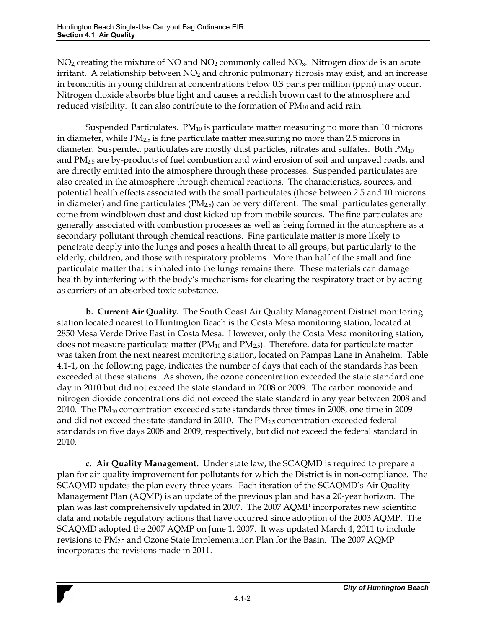$NO<sub>2</sub>$  creating the mixture of NO and  $NO<sub>2</sub>$  commonly called  $NO<sub>x</sub>$ . Nitrogen dioxide is an acute irritant. A relationship between  $NO<sub>2</sub>$  and chronic pulmonary fibrosis may exist, and an increase in bronchitis in young children at concentrations below 0.3 parts per million (ppm) may occur. Nitrogen dioxide absorbs blue light and causes a reddish brown cast to the atmosphere and reduced visibility. It can also contribute to the formation of  $PM_{10}$  and acid rain.

Suspended Particulates.  $PM_{10}$  is particulate matter measuring no more than 10 microns in diameter, while PM<sub>2.5</sub> is fine particulate matter measuring no more than 2.5 microns in diameter. Suspended particulates are mostly dust particles, nitrates and sulfates. Both PM<sub>10</sub> and PM2.5 are by-products of fuel combustion and wind erosion of soil and unpaved roads, and are directly emitted into the atmosphere through these processes. Suspended particulates are also created in the atmosphere through chemical reactions. The characteristics, sources, and potential health effects associated with the small particulates (those between 2.5 and 10 microns in diameter) and fine particulates ( $PM<sub>2.5</sub>$ ) can be very different. The small particulates generally come from windblown dust and dust kicked up from mobile sources. The fine particulates are generally associated with combustion processes as well as being formed in the atmosphere as a secondary pollutant through chemical reactions. Fine particulate matter is more likely to penetrate deeply into the lungs and poses a health threat to all groups, but particularly to the elderly, children, and those with respiratory problems. More than half of the small and fine particulate matter that is inhaled into the lungs remains there. These materials can damage health by interfering with the body's mechanisms for clearing the respiratory tract or by acting as carriers of an absorbed toxic substance.

**b. Current Air Quality.** The South Coast Air Quality Management District monitoring station located nearest to Huntington Beach is the Costa Mesa monitoring station, located at 2850 Mesa Verde Drive East in Costa Mesa. However, only the Costa Mesa monitoring station, does not measure particulate matter ( $PM_{10}$  and  $PM_{2.5}$ ). Therefore, data for particulate matter was taken from the next nearest monitoring station, located on Pampas Lane in Anaheim. Table 4.1-1, on the following page, indicates the number of days that each of the standards has been exceeded at these stations. As shown, the ozone concentration exceeded the state standard one day in 2010 but did not exceed the state standard in 2008 or 2009. The carbon monoxide and nitrogen dioxide concentrations did not exceed the state standard in any year between 2008 and 2010. The PM10 concentration exceeded state standards three times in 2008, one time in 2009 and did not exceed the state standard in 2010.The PM2.5 concentration exceeded federal standards on five days 2008 and 2009, respectively, but did not exceed the federal standard in 2010.

**c. Air Quality Management.** Under state law, the SCAQMD is required to prepare a plan for air quality improvement for pollutants for which the District is in non-compliance. The SCAQMD updates the plan every three years. Each iteration of the SCAQMD's Air Quality Management Plan (AQMP) is an update of the previous plan and has a 20-year horizon. The plan was last comprehensively updated in 2007. The 2007 AQMP incorporates new scientific data and notable regulatory actions that have occurred since adoption of the 2003 AQMP. The SCAQMD adopted the 2007 AQMP on June 1, 2007. It was updated March 4, 2011 to include revisions to PM2.5 and Ozone State Implementation Plan for the Basin. The 2007 AQMP incorporates the revisions made in 2011.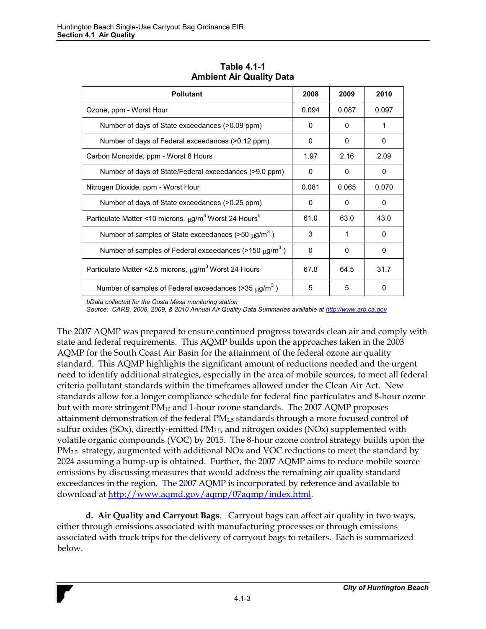| <b>Pollutant</b>                                                              | 2008  | 2009         | 2010     |
|-------------------------------------------------------------------------------|-------|--------------|----------|
| Ozone, ppm - Worst Hour                                                       | 0.094 | 0.087        | 0.097    |
| Number of days of State exceedances (>0.09 ppm)                               | 0     | <sup>0</sup> | 1        |
| Number of days of Federal exceedances (>0.12 ppm)                             | 0     | 0            | 0        |
| Carbon Monoxide, ppm - Worst 8 Hours                                          | 1.97  | 2.16         | 2.09     |
| Number of days of State/Federal exceedances (>9.0 ppm)                        | 0     | 0            | 0        |
| Nitrogen Dioxide, ppm - Worst Hour                                            | 0.081 | 0.065        | 0.070    |
| Number of days of State exceedances (>0.25 ppm)                               | 0     | <sup>0</sup> | 0        |
| Particulate Matter <10 microns, µg/m <sup>3</sup> Worst 24 Hours <sup>b</sup> | 61.0  | 63.0         | 43.0     |
| Number of samples of State exceedances ( $>50 \mu g/m^3$ )                    | 3     | 1            | $\Omega$ |
| Number of samples of Federal exceedances (>150 $\mu$ g/m <sup>3</sup> )       | 0     | 0            | 0        |
| Particulate Matter < 2.5 microns, µg/m <sup>3</sup> Worst 24 Hours            | 67.8  | 64.5         | 31.7     |
| Number of samples of Federal exceedances ( $>$ 35 $\mu$ g/m <sup>3</sup> )    | 5     | 5            | 0        |

**Table 4.1-1 Ambient Air Quality Data** 

*bData collected for the Costa Mesa monitoring station* 

*Source: CARB, 2008, 2009, & 2010 Annual Air Quality Data Summaries available at http://www.arb.ca.gov*

The 2007 AQMP was prepared to ensure continued progress towards clean air and comply with state and federal requirements. This AQMP builds upon the approaches taken in the 2003 AQMP for the South Coast Air Basin for the attainment of the federal ozone air quality standard. This AQMP highlights the significant amount of reductions needed and the urgent need to identify additional strategies, especially in the area of mobile sources, to meet all federal criteria pollutant standards within the timeframes allowed under the Clean Air Act. New standards allow for a longer compliance schedule for federal fine particulates and 8-hour ozone but with more stringent  $PM_{10}$  and 1-hour ozone standards. The 2007 AQMP proposes attainment demonstration of the federal  $PM_{2.5}$  standards through a more focused control of sulfur oxides (SOx), directly-emitted  $PM_{2.5}$ , and nitrogen oxides (NOx) supplemented with volatile organic compounds (VOC) by 2015. The 8-hour ozone control strategy builds upon the  $PM<sub>2.5</sub>$  strategy, augmented with additional NOx and VOC reductions to meet the standard by 2024 assuming a bump-up is obtained. Further, the 2007 AQMP aims to reduce mobile source emissions by discussing measures that would address the remaining air quality standard exceedances in the region. The 2007 AQMP is incorporated by reference and available to download at http://www.aqmd.gov/aqmp/07aqmp/index.html.

**d. Air Quality and Carryout Bags**. Carryout bags can affect air quality in two ways, either through emissions associated with manufacturing processes or through emissions associated with truck trips for the delivery of carryout bags to retailers. Each is summarized below.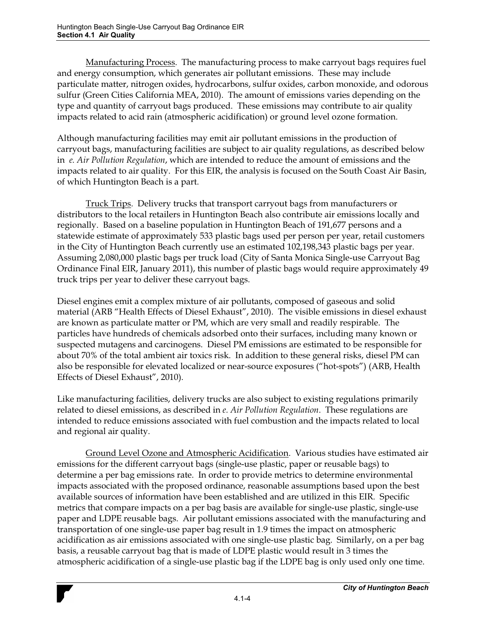Manufacturing Process. The manufacturing process to make carryout bags requires fuel and energy consumption, which generates air pollutant emissions. These may include particulate matter, nitrogen oxides, hydrocarbons, sulfur oxides, carbon monoxide, and odorous sulfur (Green Cities California MEA, 2010). The amount of emissions varies depending on the type and quantity of carryout bags produced. These emissions may contribute to air quality impacts related to acid rain (atmospheric acidification) or ground level ozone formation.

Although manufacturing facilities may emit air pollutant emissions in the production of carryout bags, manufacturing facilities are subject to air quality regulations, as described below in *e. Air Pollution Regulation*, which are intended to reduce the amount of emissions and the impacts related to air quality. For this EIR, the analysis is focused on the South Coast Air Basin, of which Huntington Beach is a part.

 Truck Trips. Delivery trucks that transport carryout bags from manufacturers or distributors to the local retailers in Huntington Beach also contribute air emissions locally and regionally. Based on a baseline population in Huntington Beach of 191,677 persons and a statewide estimate of approximately 533 plastic bags used per person per year, retail customers in the City of Huntington Beach currently use an estimated 102,198,343 plastic bags per year. Assuming 2,080,000 plastic bags per truck load (City of Santa Monica Single-use Carryout Bag Ordinance Final EIR, January 2011), this number of plastic bags would require approximately 49 truck trips per year to deliver these carryout bags.

Diesel engines emit a complex mixture of air pollutants, composed of gaseous and solid material (ARB "Health Effects of Diesel Exhaust", 2010). The visible emissions in diesel exhaust are known as particulate matter or PM, which are very small and readily respirable. The particles have hundreds of chemicals adsorbed onto their surfaces, including many known or suspected mutagens and carcinogens. Diesel PM emissions are estimated to be responsible for about 70% of the total ambient air toxics risk. In addition to these general risks, diesel PM can also be responsible for elevated localized or near-source exposures ("hot-spots") (ARB, Health Effects of Diesel Exhaust", 2010).

Like manufacturing facilities, delivery trucks are also subject to existing regulations primarily related to diesel emissions, as described in *e. Air Pollution Regulation*. These regulations are intended to reduce emissions associated with fuel combustion and the impacts related to local and regional air quality.

Ground Level Ozone and Atmospheric Acidification. Various studies have estimated air emissions for the different carryout bags (single-use plastic, paper or reusable bags) to determine a per bag emissions rate. In order to provide metrics to determine environmental impacts associated with the proposed ordinance, reasonable assumptions based upon the best available sources of information have been established and are utilized in this EIR. Specific metrics that compare impacts on a per bag basis are available for single-use plastic, single-use paper and LDPE reusable bags. Air pollutant emissions associated with the manufacturing and transportation of one single-use paper bag result in 1.9 times the impact on atmospheric acidification as air emissions associated with one single-use plastic bag. Similarly, on a per bag basis, a reusable carryout bag that is made of LDPE plastic would result in 3 times the atmospheric acidification of a single-use plastic bag if the LDPE bag is only used only one time.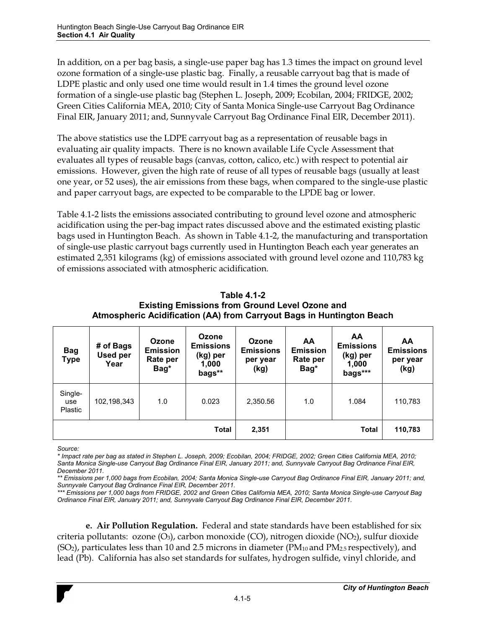In addition, on a per bag basis, a single-use paper bag has 1.3 times the impact on ground level ozone formation of a single-use plastic bag. Finally, a reusable carryout bag that is made of LDPE plastic and only used one time would result in 1.4 times the ground level ozone formation of a single-use plastic bag (Stephen L. Joseph, 2009; Ecobilan, 2004; FRIDGE, 2002; Green Cities California MEA, 2010; City of Santa Monica Single-use Carryout Bag Ordinance Final EIR, January 2011; and, Sunnyvale Carryout Bag Ordinance Final EIR, December 2011).

The above statistics use the LDPE carryout bag as a representation of reusable bags in evaluating air quality impacts. There is no known available Life Cycle Assessment that evaluates all types of reusable bags (canvas, cotton, calico, etc.) with respect to potential air emissions. However, given the high rate of reuse of all types of reusable bags (usually at least one year, or 52 uses), the air emissions from these bags, when compared to the single-use plastic and paper carryout bags, are expected to be comparable to the LPDE bag or lower.

Table 4.1-2 lists the emissions associated contributing to ground level ozone and atmospheric acidification using the per-bag impact rates discussed above and the estimated existing plastic bags used in Huntington Beach. As shown in Table 4.1-2, the manufacturing and transportation of single-use plastic carryout bags currently used in Huntington Beach each year generates an estimated 2,351 kilograms (kg) of emissions associated with ground level ozone and 110,783 kg of emissions associated with atmospheric acidification.

| Table 4.1-2                                                           |
|-----------------------------------------------------------------------|
| <b>Existing Emissions from Ground Level Ozone and</b>                 |
| Atmospheric Acidification (AA) from Carryout Bags in Huntington Beach |

| <b>Bag</b><br><b>Type</b> | # of Bags<br><b>Used per</b><br>Year | Ozone<br><b>Emission</b><br>Rate per<br>Bag* | Ozone<br><b>Emissions</b><br>(kg) per<br>1,000<br>bags** | Ozone<br><b>Emissions</b><br>per year<br>(kg) | AA<br><b>Emission</b><br>Rate per<br>Bag* | AA<br><b>Emissions</b><br>(kg) per<br>1,000<br>bags*** | AA<br><b>Emissions</b><br>per year<br>(kg) |
|---------------------------|--------------------------------------|----------------------------------------------|----------------------------------------------------------|-----------------------------------------------|-------------------------------------------|--------------------------------------------------------|--------------------------------------------|
| Single-<br>use<br>Plastic | 102,198,343                          | 1.0                                          | 0.023                                                    | 2,350.56                                      | 1.0                                       | 1.084                                                  | 110,783                                    |
|                           |                                      |                                              | <b>Total</b>                                             | 2,351                                         |                                           | <b>Total</b>                                           | 110,783                                    |

*Source:* 

*\* Impact rate per bag as stated in Stephen L. Joseph, 2009; Ecobilan, 2004; FRIDGE, 2002; Green Cities California MEA, 2010; Santa Monica Single-use Carryout Bag Ordinance Final EIR, January 2011; and, Sunnyvale Carryout Bag Ordinance Final EIR, December 2011.* 

*\*\* Emissions per 1,000 bags from Ecobilan, 2004; Santa Monica Single-use Carryout Bag Ordinance Final EIR, January 2011; and, Sunnyvale Carryout Bag Ordinance Final EIR, December 2011.* 

*\*\*\* Emissions per 1,000 bags from FRIDGE, 2002 and Green Cities California MEA, 2010; Santa Monica Single-use Carryout Bag Ordinance Final EIR, January 2011; and, Sunnyvale Carryout Bag Ordinance Final EIR, December 2011.* 

**e. Air Pollution Regulation.** Federal and state standards have been established for six criteria pollutants: ozone (O3), carbon monoxide (CO), nitrogen dioxide (NO2), sulfur dioxide  $(SO<sub>2</sub>)$ , particulates less than 10 and 2.5 microns in diameter (PM<sub>10</sub> and PM<sub>2.5</sub> respectively), and lead (Pb). California has also set standards for sulfates, hydrogen sulfide, vinyl chloride, and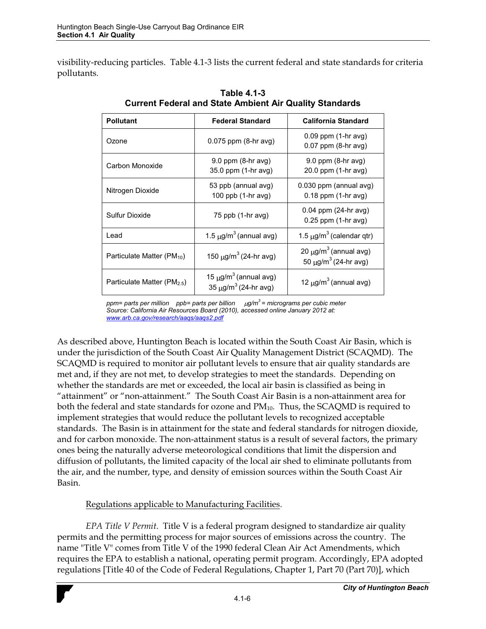visibility-reducing particles. Table 4.1-3 lists the current federal and state standards for criteria pollutants.

| <b>Pollutant</b>                        | <b>Federal Standard</b>                                                         | <b>California Standard</b>                                                 |
|-----------------------------------------|---------------------------------------------------------------------------------|----------------------------------------------------------------------------|
| Ozone                                   | $0.075$ ppm $(8-hr$ avg)                                                        | $0.09$ ppm $(1-hr$ avg)<br>$0.07$ ppm $(8-hr$ avg)                         |
| Carbon Monoxide                         | $9.0$ ppm $(8-hr$ avg)<br>35.0 ppm (1-hr avg)                                   | $9.0$ ppm $(8-hr$ avg)<br>20.0 ppm (1-hr avg)                              |
| Nitrogen Dioxide                        | 53 ppb (annual avg)<br>100 ppb (1-hr avg)                                       |                                                                            |
| Sulfur Dioxide                          | $75$ ppb $(1-hr$ avg)                                                           | $0.04$ ppm (24-hr avg)<br>$0.25$ ppm $(1-hr$ avg)                          |
| Lead                                    | 1.5 $\mu$ g/m <sup>3</sup> (annual avg)                                         | 1.5 $\mu$ g/m <sup>3</sup> (calendar qtr)                                  |
| Particulate Matter (PM <sub>10</sub> )  | 150 $\mu$ g/m <sup>3</sup> (24-hr avg)                                          | 20 $\mu$ g/m <sup>3</sup> (annual avg)<br>50 μg/m <sup>3</sup> (24-hr avg) |
| Particulate Matter (PM <sub>2.5</sub> ) | 15 $\mu$ g/m <sup>3</sup> (annual avg)<br>35 $\mu$ g/m <sup>3</sup> (24-hr avg) | 12 $\mu$ g/m <sup>3</sup> (annual avg)                                     |

**Table 4.1-3 Current Federal and State Ambient Air Quality Standards** 

*ppm= parts per million ppb= parts per billion*  $\mu$ *g/m<sup>3</sup> = micrograms per cubic meter Source: California Air Resources Board (2010), accessed online January 2012 at: www.arb.ca.gov/research/aaqs/aaqs2.pdf*

As described above, Huntington Beach is located within the South Coast Air Basin, which is under the jurisdiction of the South Coast Air Quality Management District (SCAQMD). The SCAQMD is required to monitor air pollutant levels to ensure that air quality standards are met and, if they are not met, to develop strategies to meet the standards. Depending on whether the standards are met or exceeded, the local air basin is classified as being in "attainment" or "non-attainment." The South Coast Air Basin is a non-attainment area for both the federal and state standards for ozone and  $PM_{10}$ . Thus, the SCAQMD is required to implement strategies that would reduce the pollutant levels to recognized acceptable standards. The Basin is in attainment for the state and federal standards for nitrogen dioxide, and for carbon monoxide. The non-attainment status is a result of several factors, the primary ones being the naturally adverse meteorological conditions that limit the dispersion and diffusion of pollutants, the limited capacity of the local air shed to eliminate pollutants from the air, and the number, type, and density of emission sources within the South Coast Air Basin.

## Regulations applicable to Manufacturing Facilities.

*EPA Title V Permit*. Title V is a federal program designed to standardize air quality permits and the permitting process for major sources of emissions across the country. The name "Title V" comes from Title V of the 1990 federal Clean Air Act Amendments, which requires the EPA to establish a national, operating permit program. Accordingly, EPA adopted regulations [Title 40 of the Code of Federal Regulations, Chapter 1, Part 70 (Part 70)], which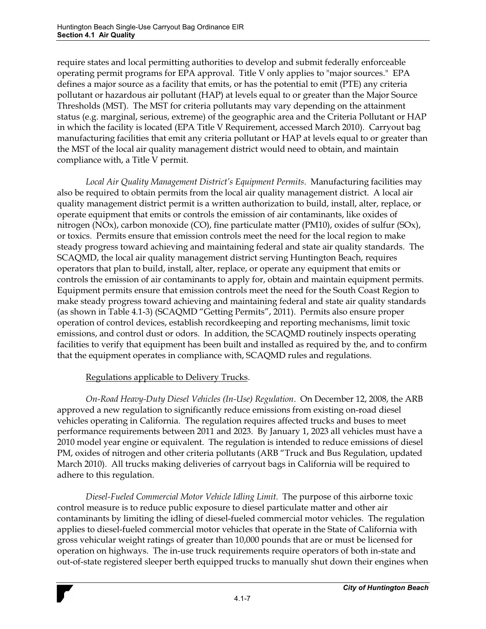require states and local permitting authorities to develop and submit federally enforceable operating permit programs for EPA approval. Title V only applies to "major sources." EPA defines a major source as a facility that emits, or has the potential to emit (PTE) any criteria pollutant or hazardous air pollutant (HAP) at levels equal to or greater than the Major Source Thresholds (MST). The MST for criteria pollutants may vary depending on the attainment status (e.g. marginal, serious, extreme) of the geographic area and the Criteria Pollutant or HAP in which the facility is located (EPA Title V Requirement, accessed March 2010). Carryout bag manufacturing facilities that emit any criteria pollutant or HAP at levels equal to or greater than the MST of the local air quality management district would need to obtain, and maintain compliance with, a Title V permit.

Local Air Quality Management District's Equipment Permits. Manufacturing facilities may also be required to obtain permits from the local air quality management district. A local air quality management district permit is a written authorization to build, install, alter, replace, or operate equipment that emits or controls the emission of air contaminants, like oxides of nitrogen (NOx), carbon monoxide (CO), fine particulate matter (PM10), oxides of sulfur (SOx), or toxics. Permits ensure that emission controls meet the need for the local region to make steady progress toward achieving and maintaining federal and state air quality standards. The SCAQMD, the local air quality management district serving Huntington Beach, requires operators that plan to build, install, alter, replace, or operate any equipment that emits or controls the emission of air contaminants to apply for, obtain and maintain equipment permits. Equipment permits ensure that emission controls meet the need for the South Coast Region to make steady progress toward achieving and maintaining federal and state air quality standards (as shown in Table 4.1-3) (SCAQMD "Getting Permits", 2011). Permits also ensure proper operation of control devices, establish recordkeeping and reporting mechanisms, limit toxic emissions, and control dust or odors. In addition, the SCAQMD routinely inspects operating facilities to verify that equipment has been built and installed as required by the, and to confirm that the equipment operates in compliance with, SCAQMD rules and regulations.

#### Regulations applicable to Delivery Trucks.

*On-Road Heavy-Duty Diesel Vehicles (In-Use) Regulation*. On December 12, 2008, the ARB approved a new regulation to significantly reduce emissions from existing on-road diesel vehicles operating in California. The regulation requires affected trucks and buses to meet performance requirements between 2011 and 2023. By January 1, 2023 all vehicles must have a 2010 model year engine or equivalent. The regulation is intended to reduce emissions of diesel PM, oxides of nitrogen and other criteria pollutants (ARB "Truck and Bus Regulation, updated March 2010). All trucks making deliveries of carryout bags in California will be required to adhere to this regulation.

*Diesel-Fueled Commercial Motor Vehicle Idling Limit*. The purpose of this airborne toxic control measure is to reduce public exposure to diesel particulate matter and other air contaminants by limiting the idling of diesel-fueled commercial motor vehicles. The regulation applies to diesel-fueled commercial motor vehicles that operate in the State of California with gross vehicular weight ratings of greater than 10,000 pounds that are or must be licensed for operation on highways. The in-use truck requirements require operators of both in-state and out-of-state registered sleeper berth equipped trucks to manually shut down their engines when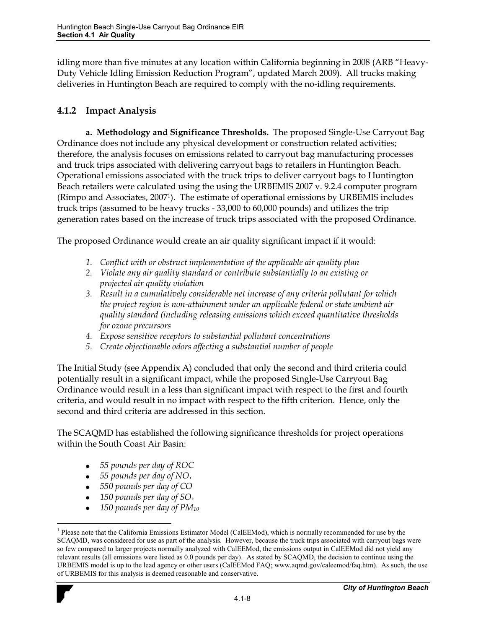idling more than five minutes at any location within California beginning in 2008 (ARB "Heavy-Duty Vehicle Idling Emission Reduction Program", updated March 2009). All trucks making deliveries in Huntington Beach are required to comply with the no-idling requirements.

### **4.1.2 Impact Analysis**

**a. Methodology and Significance Thresholds.** The proposed Single-Use Carryout Bag Ordinance does not include any physical development or construction related activities; therefore, the analysis focuses on emissions related to carryout bag manufacturing processes and truck trips associated with delivering carryout bags to retailers in Huntington Beach. Operational emissions associated with the truck trips to deliver carryout bags to Huntington Beach retailers were calculated using the using the URBEMIS 2007 v. 9.2.4 computer program (Rimpo and Associates, 20071). The estimate of operational emissions by URBEMIS includes truck trips (assumed to be heavy trucks - 33,000 to 60,000 pounds) and utilizes the trip generation rates based on the increase of truck trips associated with the proposed Ordinance.

The proposed Ordinance would create an air quality significant impact if it would:

- *1. Conflict with or obstruct implementation of the applicable air quality plan*
- *2. Violate any air quality standard or contribute substantially to an existing or projected air quality violation*
- *3. Result in a cumulatively considerable net increase of any criteria pollutant for which the project region is non-attainment under an applicable federal or state ambient air quality standard (including releasing emissions which exceed quantitative thresholds for ozone precursors*
- *4. Expose sensitive receptors to substantial pollutant concentrations*
- *5. Create objectionable odors affecting a substantial number of people*

The Initial Study (see Appendix A) concluded that only the second and third criteria could potentially result in a significant impact, while the proposed Single-Use Carryout Bag Ordinance would result in a less than significant impact with respect to the first and fourth criteria, and would result in no impact with respect to the fifth criterion. Hence, only the second and third criteria are addressed in this section.

The SCAQMD has established the following significance thresholds for project operations within the South Coast Air Basin:

- *55 pounds per day of ROC*
- *55 pounds per day of NOx*
- *550 pounds per day of CO*
- *150 pounds per day of SOx*

 $\overline{a}$ 

*150 pounds per day of PM10*

<sup>&</sup>lt;sup>1</sup> Please note that the California Emissions Estimator Model (CalEEMod), which is normally recommended for use by the SCAQMD, was considered for use as part of the analysis. However, because the truck trips associated with carryout bags were so few compared to larger projects normally analyzed with CalEEMod, the emissions output in CalEEMod did not yield any relevant results (all emissions were listed as 0.0 pounds per day). As stated by SCAQMD, the decision to continue using the URBEMIS model is up to the lead agency or other users (CalEEMod FAQ; www.aqmd.gov/caleemod/faq.htm). As such, the use of URBEMIS for this analysis is deemed reasonable and conservative.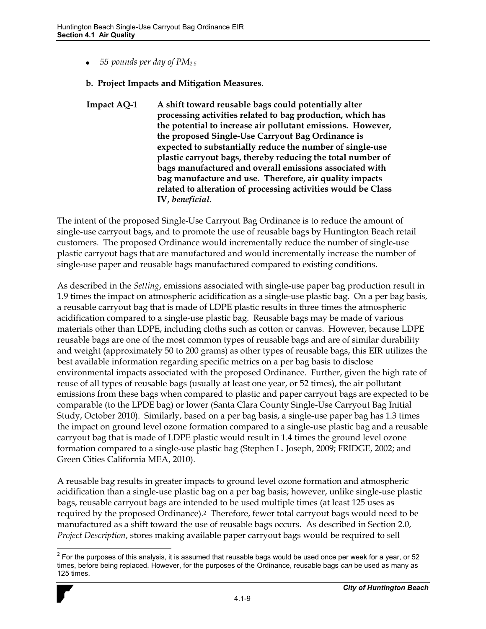$\bullet$ *55 pounds per day of PM2.5*

#### **b. Project Impacts and Mitigation Measures.**

**Impact AQ-1 A shift toward reusable bags could potentially alter processing activities related to bag production, which has the potential to increase air pollutant emissions. However, the proposed Single-Use Carryout Bag Ordinance is expected to substantially reduce the number of single-use plastic carryout bags, thereby reducing the total number of bags manufactured and overall emissions associated with bag manufacture and use. Therefore, air quality impacts related to alteration of processing activities would be Class IV,** *beneficial***.** 

The intent of the proposed Single-Use Carryout Bag Ordinance is to reduce the amount of single-use carryout bags, and to promote the use of reusable bags by Huntington Beach retail customers. The proposed Ordinance would incrementally reduce the number of single-use plastic carryout bags that are manufactured and would incrementally increase the number of single-use paper and reusable bags manufactured compared to existing conditions.

As described in the *Setting*, emissions associated with single-use paper bag production result in 1.9 times the impact on atmospheric acidification as a single-use plastic bag. On a per bag basis, a reusable carryout bag that is made of LDPE plastic results in three times the atmospheric acidification compared to a single-use plastic bag. Reusable bags may be made of various materials other than LDPE, including cloths such as cotton or canvas. However, because LDPE reusable bags are one of the most common types of reusable bags and are of similar durability and weight (approximately 50 to 200 grams) as other types of reusable bags, this EIR utilizes the best available information regarding specific metrics on a per bag basis to disclose environmental impacts associated with the proposed Ordinance. Further, given the high rate of reuse of all types of reusable bags (usually at least one year, or 52 times), the air pollutant emissions from these bags when compared to plastic and paper carryout bags are expected to be comparable (to the LPDE bag) or lower (Santa Clara County Single-Use Carryout Bag Initial Study, October 2010). Similarly, based on a per bag basis, a single-use paper bag has 1.3 times the impact on ground level ozone formation compared to a single-use plastic bag and a reusable carryout bag that is made of LDPE plastic would result in 1.4 times the ground level ozone formation compared to a single-use plastic bag (Stephen L. Joseph, 2009; FRIDGE, 2002; and Green Cities California MEA, 2010).

A reusable bag results in greater impacts to ground level ozone formation and atmospheric acidification than a single-use plastic bag on a per bag basis; however, unlike single-use plastic bags, reusable carryout bags are intended to be used multiple times (at least 125 uses as required by the proposed Ordinance).2 Therefore, fewer total carryout bags would need to be manufactured as a shift toward the use of reusable bags occurs. As described in Section 2.0, *Project Description*, stores making available paper carryout bags would be required to sell

 $\overline{a}$  $^2$  For the purposes of this analysis, it is assumed that reusable bags would be used once per week for a year, or 52 times, before being replaced. However, for the purposes of the Ordinance, reusable bags *can* be used as many as 125 times.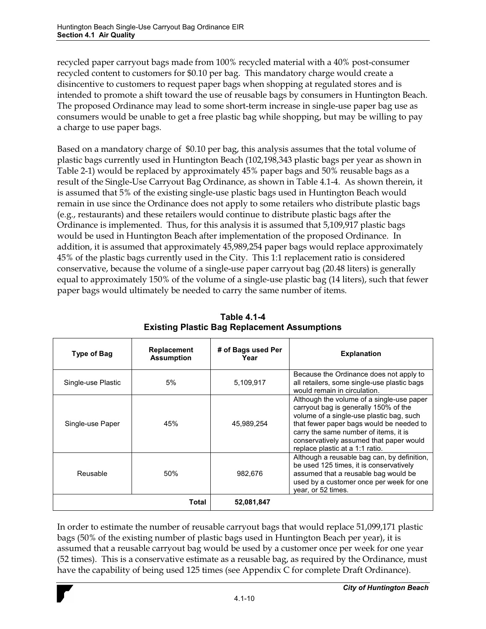recycled paper carryout bags made from 100% recycled material with a 40% post-consumer recycled content to customers for \$0.10 per bag. This mandatory charge would create a disincentive to customers to request paper bags when shopping at regulated stores and is intended to promote a shift toward the use of reusable bags by consumers in Huntington Beach. The proposed Ordinance may lead to some short-term increase in single-use paper bag use as consumers would be unable to get a free plastic bag while shopping, but may be willing to pay a charge to use paper bags.

Based on a mandatory charge of \$0.10 per bag, this analysis assumes that the total volume of plastic bags currently used in Huntington Beach (102,198,343 plastic bags per year as shown in Table 2-1) would be replaced by approximately 45% paper bags and 50% reusable bags as a result of the Single-Use Carryout Bag Ordinance, as shown in Table 4.1-4. As shown therein, it is assumed that 5% of the existing single-use plastic bags used in Huntington Beach would remain in use since the Ordinance does not apply to some retailers who distribute plastic bags (e.g., restaurants) and these retailers would continue to distribute plastic bags after the Ordinance is implemented. Thus, for this analysis it is assumed that 5,109,917 plastic bags would be used in Huntington Beach after implementation of the proposed Ordinance. In addition, it is assumed that approximately 45,989,254 paper bags would replace approximately 45% of the plastic bags currently used in the City. This 1:1 replacement ratio is considered conservative, because the volume of a single-use paper carryout bag (20.48 liters) is generally equal to approximately 150% of the volume of a single-use plastic bag (14 liters), such that fewer paper bags would ultimately be needed to carry the same number of items.

| Type of Bag        | <b>Replacement</b><br><b>Assumption</b> | # of Bags used Per<br>Year | <b>Explanation</b>                                                                                                                                                                                                                                                                                |
|--------------------|-----------------------------------------|----------------------------|---------------------------------------------------------------------------------------------------------------------------------------------------------------------------------------------------------------------------------------------------------------------------------------------------|
| Single-use Plastic | 5%                                      | 5,109,917                  | Because the Ordinance does not apply to<br>all retailers, some single-use plastic bags<br>would remain in circulation.                                                                                                                                                                            |
| Single-use Paper   | 45%                                     | 45,989,254                 | Although the volume of a single-use paper<br>carryout bag is generally 150% of the<br>volume of a single-use plastic bag, such<br>that fewer paper bags would be needed to<br>carry the same number of items, it is<br>conservatively assumed that paper would<br>replace plastic at a 1:1 ratio. |
| Reusable           | 50%                                     | 982,676                    | Although a reusable bag can, by definition,<br>be used 125 times, it is conservatively<br>assumed that a reusable bag would be<br>used by a customer once per week for one<br>year, or 52 times.                                                                                                  |
|                    | Total                                   | 52,081,847                 |                                                                                                                                                                                                                                                                                                   |

**Table 4.1-4 Existing Plastic Bag Replacement Assumptions**

In order to estimate the number of reusable carryout bags that would replace 51,099,171 plastic bags (50% of the existing number of plastic bags used in Huntington Beach per year), it is assumed that a reusable carryout bag would be used by a customer once per week for one year (52 times). This is a conservative estimate as a reusable bag, as required by the Ordinance, must have the capability of being used 125 times (see Appendix C for complete Draft Ordinance).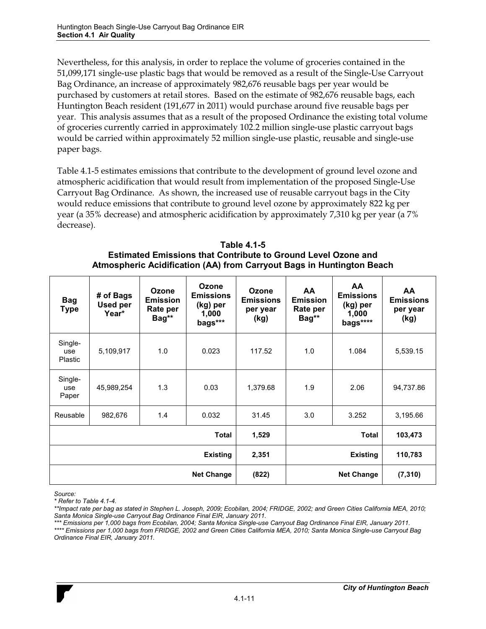Nevertheless, for this analysis, in order to replace the volume of groceries contained in the 51,099,171 single-use plastic bags that would be removed as a result of the Single-Use Carryout Bag Ordinance, an increase of approximately 982,676 reusable bags per year would be purchased by customers at retail stores. Based on the estimate of 982,676 reusable bags, each Huntington Beach resident (191,677 in 2011) would purchase around five reusable bags per year. This analysis assumes that as a result of the proposed Ordinance the existing total volume of groceries currently carried in approximately 102.2 million single-use plastic carryout bags would be carried within approximately 52 million single-use plastic, reusable and single-use paper bags.

Table 4.1-5 estimates emissions that contribute to the development of ground level ozone and atmospheric acidification that would result from implementation of the proposed Single-Use Carryout Bag Ordinance. As shown, the increased use of reusable carryout bags in the City would reduce emissions that contribute to ground level ozone by approximately 822 kg per year (a 35% decrease) and atmospheric acidification by approximately 7,310 kg per year (a 7% decrease).

| <b>Table 4.1-5</b>                                                    |
|-----------------------------------------------------------------------|
| <b>Estimated Emissions that Contribute to Ground Level Ozone and</b>  |
| Atmospheric Acidification (AA) from Carryout Bags in Huntington Beach |

| <b>Bag</b><br><b>Type</b>        | # of Bags<br><b>Used per</b><br>Year* | Ozone<br><b>Emission</b><br>Rate per<br>Bag** | Ozone<br><b>Emissions</b><br>(kg) per<br>1,000<br>bags*** | <b>Ozone</b><br><b>Emissions</b><br>per year<br>(kg) | <b>AA</b><br><b>Emission</b><br>Rate per<br>Bag** | <b>AA</b><br><b>Emissions</b><br>(kg) per<br>1,000<br>bags**** | <b>AA</b><br><b>Emissions</b><br>per year<br>(kg) |
|----------------------------------|---------------------------------------|-----------------------------------------------|-----------------------------------------------------------|------------------------------------------------------|---------------------------------------------------|----------------------------------------------------------------|---------------------------------------------------|
| Single-<br>use<br><b>Plastic</b> | 5,109,917                             | 1.0                                           | 0.023                                                     | 117.52                                               | 1.0                                               | 1.084                                                          | 5,539.15                                          |
| Single-<br>use<br>Paper          | 45,989,254                            | 1.3                                           | 0.03                                                      | 1,379.68                                             | 1.9                                               | 2.06                                                           | 94,737.86                                         |
| Reusable                         | 982,676                               | 1.4                                           | 0.032                                                     | 31.45                                                | 3.0                                               | 3.252                                                          | 3,195.66                                          |
|                                  |                                       |                                               | <b>Total</b>                                              | 1,529                                                |                                                   | Total                                                          | 103,473                                           |
| <b>Existing</b>                  |                                       | 2,351                                         |                                                           | <b>Existing</b>                                      | 110,783                                           |                                                                |                                                   |
| <b>Net Change</b>                |                                       | (822)                                         |                                                           | <b>Net Change</b>                                    | (7, 310)                                          |                                                                |                                                   |

*Source:* 

*\* Refer to Table 4.1-4.* 

*\*\*Impact rate per bag as stated in Stephen L. Joseph, 2009; Ecobilan, 2004; FRIDGE, 2002; and Green Cities California MEA, 2010; Santa Monica Single-use Carryout Bag Ordinance Final EIR, January 2011.* 

*\*\*\* Emissions per 1,000 bags from Ecobilan, 2004; Santa Monica Single-use Carryout Bag Ordinance Final EIR, January 2011. \*\*\*\* Emissions per 1,000 bags from FRIDGE, 2002 and Green Cities California MEA, 2010; Santa Monica Single-use Carryout Bag Ordinance Final EIR, January 2011.*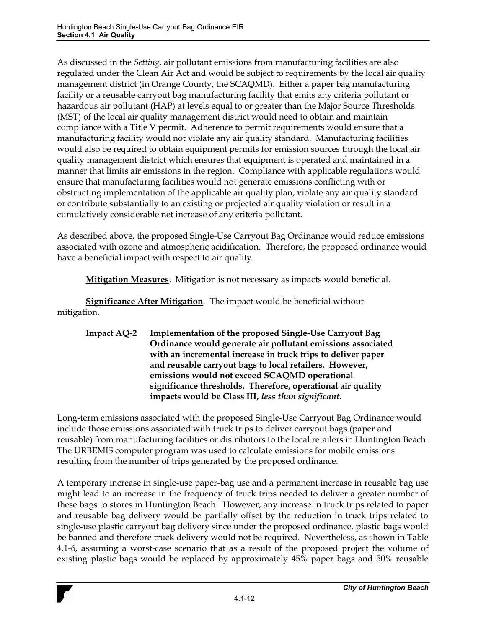As discussed in the *Setting*, air pollutant emissions from manufacturing facilities are also regulated under the Clean Air Act and would be subject to requirements by the local air quality management district (in Orange County, the SCAQMD). Either a paper bag manufacturing facility or a reusable carryout bag manufacturing facility that emits any criteria pollutant or hazardous air pollutant (HAP) at levels equal to or greater than the Major Source Thresholds (MST) of the local air quality management district would need to obtain and maintain compliance with a Title V permit. Adherence to permit requirements would ensure that a manufacturing facility would not violate any air quality standard. Manufacturing facilities would also be required to obtain equipment permits for emission sources through the local air quality management district which ensures that equipment is operated and maintained in a manner that limits air emissions in the region. Compliance with applicable regulations would ensure that manufacturing facilities would not generate emissions conflicting with or obstructing implementation of the applicable air quality plan, violate any air quality standard or contribute substantially to an existing or projected air quality violation or result in a cumulatively considerable net increase of any criteria pollutant.

As described above, the proposed Single-Use Carryout Bag Ordinance would reduce emissions associated with ozone and atmospheric acidification. Therefore, the proposed ordinance would have a beneficial impact with respect to air quality.

**Mitigation Measures**. Mitigation is not necessary as impacts would beneficial.

**Significance After Mitigation**. The impact would be beneficial without mitigation.

**Impact AQ-2 Implementation of the proposed Single-Use Carryout Bag Ordinance would generate air pollutant emissions associated with an incremental increase in truck trips to deliver paper and reusable carryout bags to local retailers. However, emissions would not exceed SCAQMD operational significance thresholds. Therefore, operational air quality impacts would be Class III,** *less than significant***.** 

Long-term emissions associated with the proposed Single-Use Carryout Bag Ordinance would include those emissions associated with truck trips to deliver carryout bags (paper and reusable) from manufacturing facilities or distributors to the local retailers in Huntington Beach. The URBEMIS computer program was used to calculate emissions for mobile emissions resulting from the number of trips generated by the proposed ordinance.

A temporary increase in single-use paper-bag use and a permanent increase in reusable bag use might lead to an increase in the frequency of truck trips needed to deliver a greater number of these bags to stores in Huntington Beach. However, any increase in truck trips related to paper and reusable bag delivery would be partially offset by the reduction in truck trips related to single-use plastic carryout bag delivery since under the proposed ordinance, plastic bags would be banned and therefore truck delivery would not be required. Nevertheless, as shown in Table 4.1-6, assuming a worst-case scenario that as a result of the proposed project the volume of existing plastic bags would be replaced by approximately 45% paper bags and 50% reusable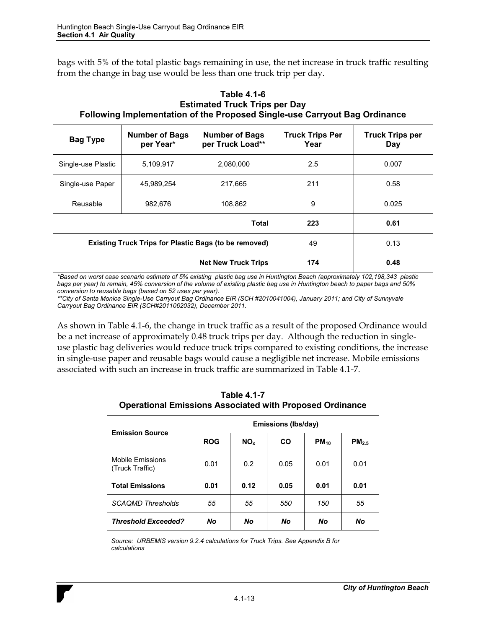bags with 5% of the total plastic bags remaining in use, the net increase in truck traffic resulting from the change in bag use would be less than one truck trip per day.

| <u>, andnung mikiamanisman at ma i rekadas amğıd ada asırlası sağ arsınsılda</u> |                                    |                                           |                                |                               |  |  |
|----------------------------------------------------------------------------------|------------------------------------|-------------------------------------------|--------------------------------|-------------------------------|--|--|
| <b>Bag Type</b>                                                                  | <b>Number of Bags</b><br>per Year* | <b>Number of Bags</b><br>per Truck Load** | <b>Truck Trips Per</b><br>Year | <b>Truck Trips per</b><br>Day |  |  |
| Single-use Plastic                                                               | 5,109,917                          | 2,080,000                                 | 2.5                            | 0.007                         |  |  |
| Single-use Paper                                                                 | 45,989,254                         | 217,665                                   | 211                            | 0.58                          |  |  |
| Reusable                                                                         | 982.676<br>108,862                 |                                           | 9                              | 0.025                         |  |  |
| <b>Total</b>                                                                     |                                    |                                           | 223                            | 0.61                          |  |  |
| <b>Existing Truck Trips for Plastic Bags (to be removed)</b>                     |                                    | 49                                        | 0.13                           |                               |  |  |
|                                                                                  |                                    | <b>Net New Truck Trips</b>                | 174                            | 0.48                          |  |  |

**Table 4.1-6 Estimated Truck Trips per Day Following Implementation of the Proposed Single-use Carryout Bag Ordinance** 

*\*Based on worst case scenario estimate of 5% existing plastic bag use in Huntington Beach (approximately 102,198,343 plastic bags per year) to remain, 45% conversion of the volume of existing plastic bag use in Huntington beach to paper bags and 50% conversion to reusable bags (based on 52 uses per year).* 

\*\*City of Santa Monica Single-Use Carryout Bag Ordinance EIR (SCH #2010041004), January 2011; and City of Sunnyvale *Carryout Bag Ordinance EIR (SCH#2011062032), December 2011.* 

As shown in Table 4.1-6, the change in truck traffic as a result of the proposed Ordinance would be a net increase of approximately 0.48 truck trips per day. Although the reduction in singleuse plastic bag deliveries would reduce truck trips compared to existing conditions, the increase in single-use paper and reusable bags would cause a negligible net increase. Mobile emissions associated with such an increase in truck traffic are summarized in Table 4.1-7.

**Table 4.1-7 Operational Emissions Associated with Proposed Ordinance** 

| <b>Emission Source</b>              | Emissions (Ibs/day) |                 |           |           |                   |  |
|-------------------------------------|---------------------|-----------------|-----------|-----------|-------------------|--|
|                                     | <b>ROG</b>          | NO <sub>x</sub> | <b>CO</b> | $PM_{10}$ | PM <sub>2.5</sub> |  |
| Mobile Emissions<br>(Truck Traffic) | 0.01                | 0.2             | 0.05      | 0.01      | 0.01              |  |
| <b>Total Emissions</b>              | 0.01                | 0.12            | 0.05      | 0.01      | 0.01              |  |
| <b>SCAQMD Thresholds</b>            | 55                  | 55              | 550       | 150       | 55                |  |
| <b>Threshold Exceeded?</b>          | <b>No</b>           | <b>No</b>       | No        | No        | No                |  |

*Source: URBEMIS version 9.2.4 calculations for Truck Trips. See Appendix B for calculations*